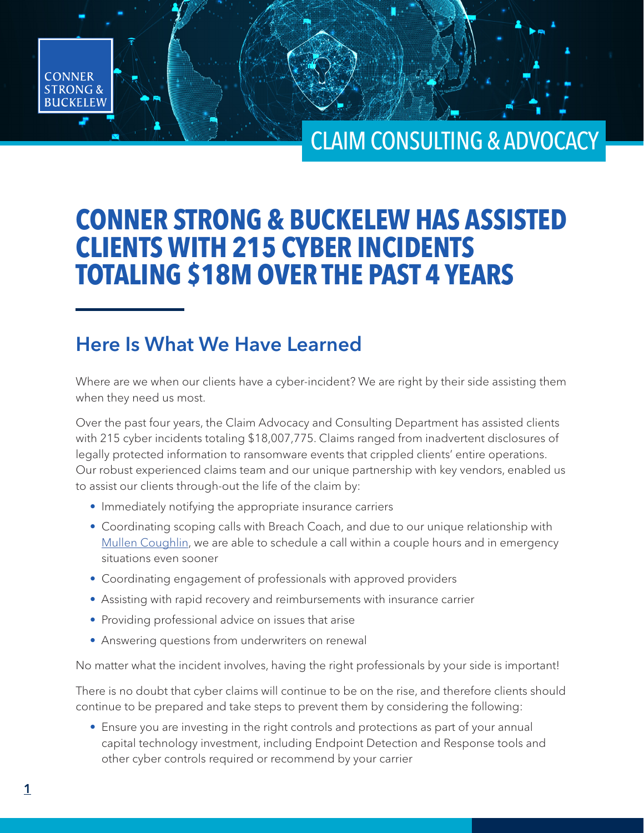# CLAIM CONSULTING & ADVOCACY

# **CONNER STRONG & BUCKELEW HAS ASSISTED CLIENTS WITH 215 CYBER INCIDENTS TOTALING \$18M OVER THE PAST 4 YEARS**

## Here Is What We Have Learned

Where are we when our clients have a cyber-incident? We are right by their side assisting them when they need us most.

Over the past four years, the Claim Advocacy and Consulting Department has assisted clients with 215 cyber incidents totaling \$18,007,775. Claims ranged from inadvertent disclosures of legally protected information to ransomware events that crippled clients' entire operations. Our robust experienced claims team and our unique partnership with key vendors, enabled us to assist our clients through-out the life of the claim by:

- Immediately notifying the appropriate insurance carriers
- Coordinating scoping calls with Breach Coach, and due to our unique relationship with [Mullen Coughlin](https://www.mullen.law/), we are able to schedule a call within a couple hours and in emergency situations even sooner
- Coordinating engagement of professionals with approved providers
- Assisting with rapid recovery and reimbursements with insurance carrier
- Providing professional advice on issues that arise
- Answering questions from underwriters on renewal

No matter what the incident involves, having the right professionals by your side is important!

There is no doubt that cyber claims will continue to be on the rise, and therefore clients should continue to be prepared and take steps to prevent them by considering the following:

• Ensure you are investing in the right controls and protections as part of your annual capital technology investment, including Endpoint Detection and Response tools and other cyber controls required or recommend by your carrier

**CONNER STRONG& BUCKELEW**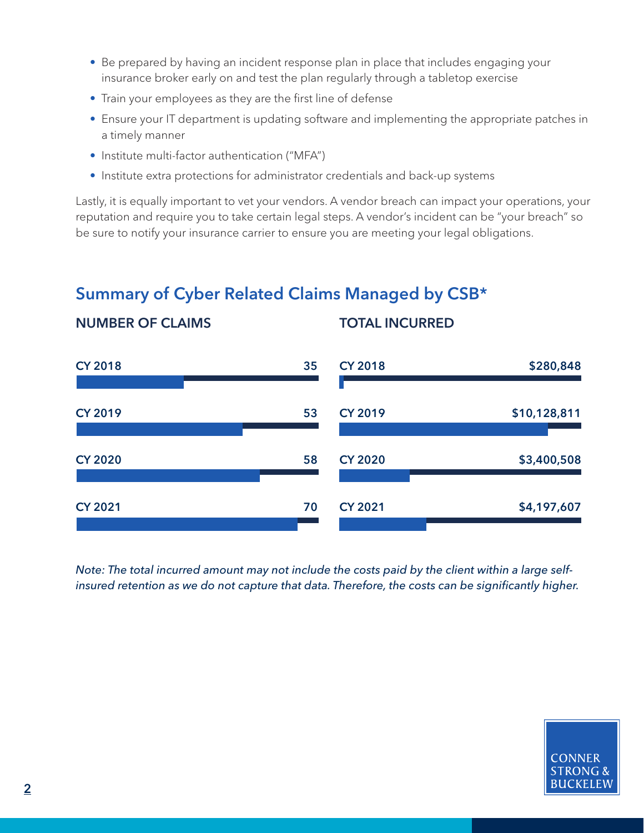- Be prepared by having an incident response plan in place that includes engaging your insurance broker early on and test the plan regularly through a tabletop exercise
- Train your employees as they are the first line of defense
- Ensure your IT department is updating software and implementing the appropriate patches in a timely manner
- Institute multi-factor authentication ("MFA")

NUMBER OF CLAIMS

• Institute extra protections for administrator credentials and back-up systems

Lastly, it is equally important to vet your vendors. A vendor breach can impact your operations, your reputation and require you to take certain legal steps. A vendor's incident can be "your breach" so be sure to notify your insurance carrier to ensure you are meeting your legal obligations.

TOTAL INCURRED

## Summary of Cyber Related Claims Managed by CSB\*

CY 2018 35 CY 2019 53 CY 2020 58 CY 2021 2021 2022 2022 2022 2023 2024 2027 2028 2021 2022 2023 2024 2022 2023 2024 2022 2023 2024 2022 2023 20 CY 2018 5280.848 CY 2019 \$10,128,811 CY 2020 \$3,400,508 CY 2021 \$4,197,607

*Note: The total incurred amount may not include the costs paid by the client within a large selfinsured retention as we do not capture that data. Therefore, the costs can be significantly higher.*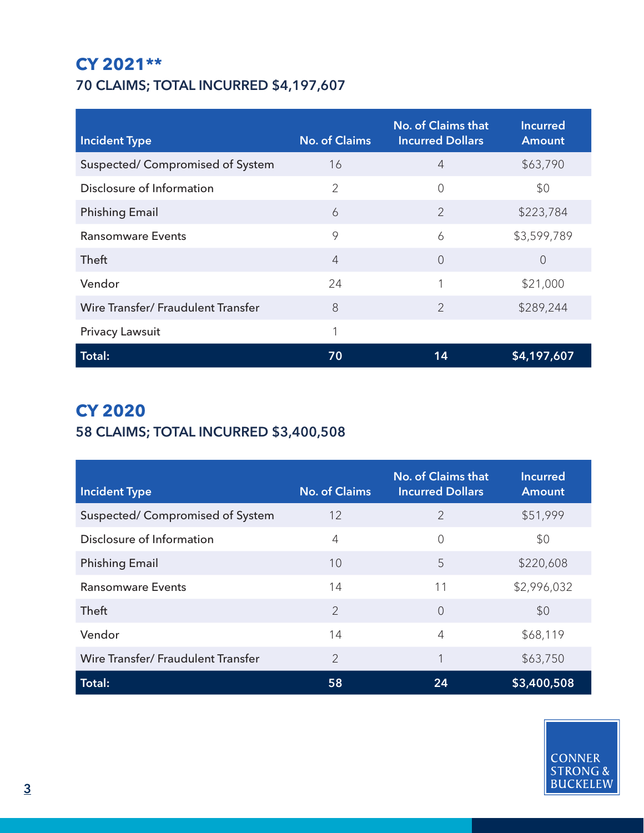### **CY 2021\*\*** 70 CLAIMS; TOTAL INCURRED \$4,197,607

| <b>Incident Type</b>               | <b>No. of Claims</b> | <b>No. of Claims that</b><br><b>Incurred Dollars</b> | <b>Incurred</b><br><b>Amount</b> |
|------------------------------------|----------------------|------------------------------------------------------|----------------------------------|
| Suspected/ Compromised of System   | 16                   | $\overline{4}$                                       | \$63,790                         |
| Disclosure of Information          | 2                    | $\overline{0}$                                       | \$0                              |
| <b>Phishing Email</b>              | 6                    | $\overline{2}$                                       | \$223,784                        |
| <b>Ransomware Events</b>           | 9                    | 6                                                    | \$3,599,789                      |
| Theft                              | $\overline{4}$       | $\overline{0}$                                       | $\overline{0}$                   |
| Vendor                             | 24                   | 1                                                    | \$21,000                         |
| Wire Transfer/ Fraudulent Transfer | 8                    | $\overline{2}$                                       | \$289,244                        |
| <b>Privacy Lawsuit</b>             | 1                    |                                                      |                                  |
| <b>Total:</b>                      | 70                   | 14                                                   | \$4,197,607                      |

## **CY 2020**

### 58 CLAIMS; TOTAL INCURRED \$3,400,508

| <b>Incident Type</b>               | <b>No. of Claims</b> | <b>No. of Claims that</b><br><b>Incurred Dollars</b> | <b>Incurred</b><br><b>Amount</b> |
|------------------------------------|----------------------|------------------------------------------------------|----------------------------------|
| Suspected/Compromised of System    | 12                   | $\overline{2}$                                       | \$51,999                         |
| Disclosure of Information          | 4                    | $\overline{0}$                                       | \$0                              |
| <b>Phishing Email</b>              | 10                   | 5                                                    | \$220,608                        |
| <b>Ransomware Events</b>           | 14                   | 11                                                   | \$2,996,032                      |
| Theft                              | $\overline{2}$       | $\bigcap$                                            | \$0                              |
| Vendor                             | 14                   | $\overline{4}$                                       | \$68,119                         |
| Wire Transfer/ Fraudulent Transfer | 2                    | 1                                                    | \$63,750                         |
| Total:                             | 58                   | 24                                                   | \$3,400,508                      |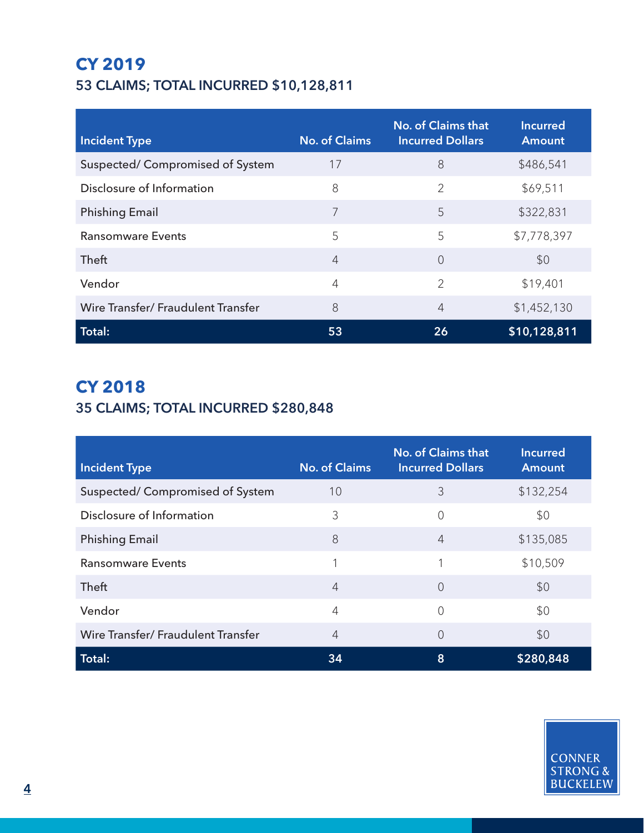### **CY 2019** 53 CLAIMS; TOTAL INCURRED \$10,128,811

| <b>Incident Type</b>               | <b>No. of Claims</b> | <b>No. of Claims that</b><br><b>Incurred Dollars</b> | <b>Incurred</b><br><b>Amount</b> |
|------------------------------------|----------------------|------------------------------------------------------|----------------------------------|
| Suspected/ Compromised of System   | 17                   | 8                                                    | \$486,541                        |
| Disclosure of Information          | 8                    | $\overline{2}$                                       | \$69,511                         |
| <b>Phishing Email</b>              | 7                    | 5                                                    | \$322,831                        |
| <b>Ransomware Events</b>           | 5                    | 5                                                    | \$7,778,397                      |
| Theft                              | 4                    | $\bigcap$                                            | \$0                              |
| Vendor                             | 4                    | $\overline{2}$                                       | \$19,401                         |
| Wire Transfer/ Fraudulent Transfer | 8                    | $\overline{4}$                                       | \$1,452,130                      |
| Total:                             | 53                   | 26                                                   | \$10,128,811                     |

### **CY 2018** 35 CLAIMS; TOTAL INCURRED \$280,848

| <b>Incident Type</b>               | <b>No. of Claims</b> | <b>No. of Claims that</b><br><b>Incurred Dollars</b> | <b>Incurred</b><br><b>Amount</b> |
|------------------------------------|----------------------|------------------------------------------------------|----------------------------------|
| Suspected/ Compromised of System   | 10                   | 3                                                    | \$132,254                        |
| Disclosure of Information          | 3                    | 0                                                    | \$0                              |
| <b>Phishing Email</b>              | 8                    | $\overline{4}$                                       | \$135,085                        |
| <b>Ransomware Events</b>           |                      |                                                      | \$10,509                         |
| Theft                              | $\overline{4}$       | $\overline{0}$                                       | \$0                              |
| Vendor                             | 4                    | $\Omega$                                             | \$0                              |
| Wire Transfer/ Fraudulent Transfer | 4                    | 0                                                    | \$0                              |
| Total:                             | 34                   | 8                                                    | \$280,848                        |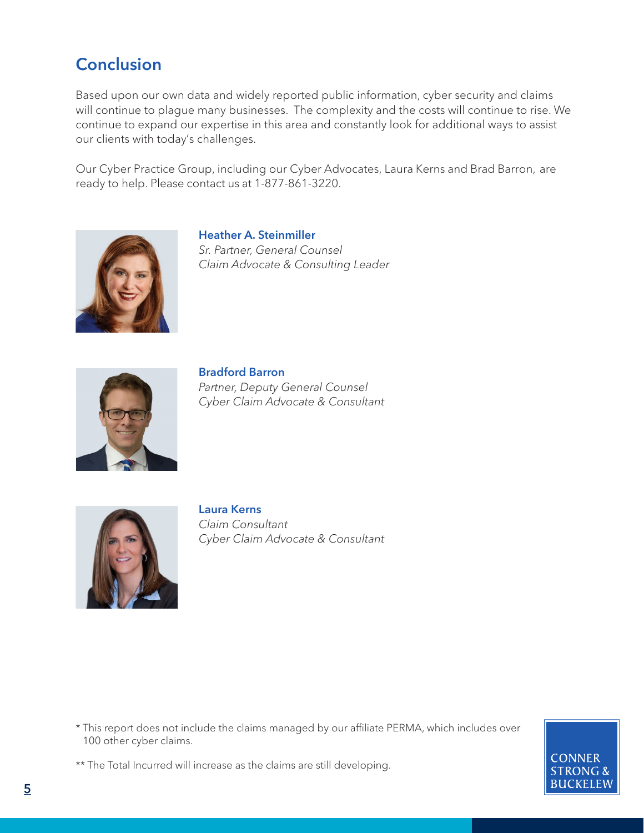### **Conclusion**

Based upon our own data and widely reported public information, cyber security and claims will continue to plague many businesses. The complexity and the costs will continue to rise. We continue to expand our expertise in this area and constantly look for additional ways to assist our clients with today's challenges.

Our Cyber Practice Group, including our Cyber Advocates, Laura Kerns and Brad Barron, are ready to help. Please contact us at 1-877-861-3220.



Heather A. Steinmiller *Sr. Partner, General Counsel Claim Advocate & Consulting Leader*



Bradford Barron *Partner, Deputy General Counsel Cyber Claim Advocate & Consultant*



Laura Kerns *Claim Consultant Cyber Claim Advocate & Consultant*

\* This report does not include the claims managed by our affiliate PERMA, which includes over 100 other cyber claims.